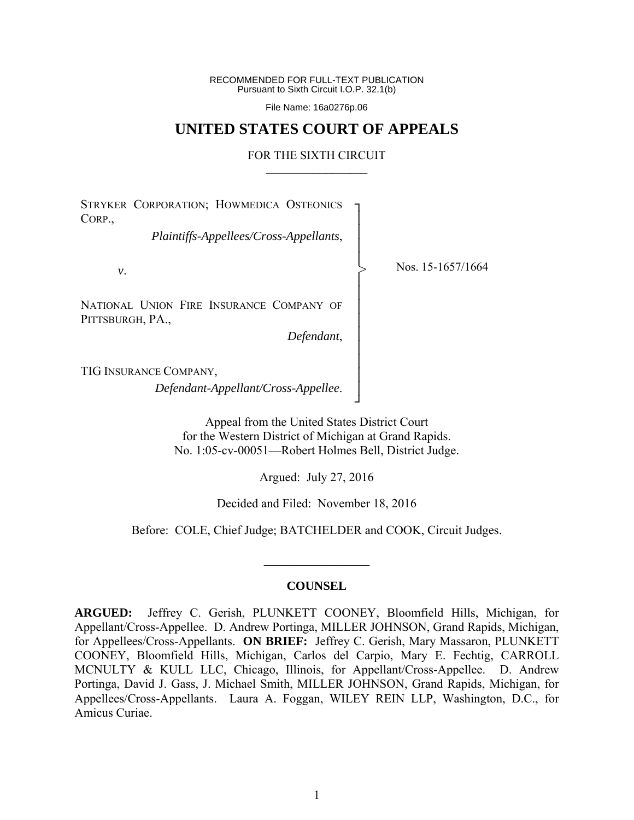RECOMMENDED FOR FULL-TEXT PUBLICATION Pursuant to Sixth Circuit I.O.P. 32.1(b)

File Name: 16a0276p.06

## **UNITED STATES COURT OF APPEALS**

#### FOR THE SIXTH CIRCUIT  $\mathcal{L}_\text{max}$

┐ │ │ │ │ │ │ │ │ │ │ │ │ │ ┘

>

STRYKER CORPORATION; HOWMEDICA OSTEONICS CORP.,

*Plaintiffs-Appellees/Cross-Appellants*,

*v*.

NATIONAL UNION FIRE INSURANCE COMPANY OF PITTSBURGH, PA.,

*Defendant*,

Nos. 15-1657/1664

TIG INSURANCE COMPANY,

*Defendant-Appellant/Cross-Appellee*.

Appeal from the United States District Court for the Western District of Michigan at Grand Rapids. No. 1:05-cv-00051—Robert Holmes Bell, District Judge.

Argued: July 27, 2016

Decided and Filed: November 18, 2016

Before: COLE, Chief Judge; BATCHELDER and COOK, Circuit Judges.

#### **COUNSEL**

 $\frac{1}{2}$ 

**ARGUED:** Jeffrey C. Gerish, PLUNKETT COONEY, Bloomfield Hills, Michigan, for Appellant/Cross-Appellee. D. Andrew Portinga, MILLER JOHNSON, Grand Rapids, Michigan, for Appellees/Cross-Appellants. **ON BRIEF:** Jeffrey C. Gerish, Mary Massaron, PLUNKETT COONEY, Bloomfield Hills, Michigan, Carlos del Carpio, Mary E. Fechtig, CARROLL MCNULTY & KULL LLC, Chicago, Illinois, for Appellant/Cross-Appellee. D. Andrew Portinga, David J. Gass, J. Michael Smith, MILLER JOHNSON, Grand Rapids, Michigan, for Appellees/Cross-Appellants. Laura A. Foggan, WILEY REIN LLP, Washington, D.C., for Amicus Curiae.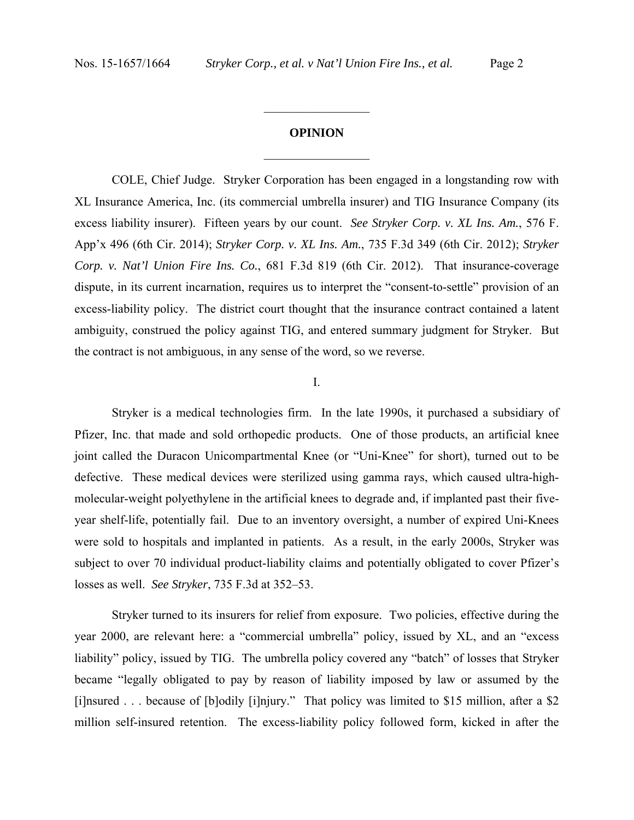# **OPINION**   $\frac{1}{2}$  ,  $\frac{1}{2}$  ,  $\frac{1}{2}$  ,  $\frac{1}{2}$  ,  $\frac{1}{2}$  ,  $\frac{1}{2}$  ,  $\frac{1}{2}$  ,  $\frac{1}{2}$  ,  $\frac{1}{2}$

 $\frac{1}{2}$  ,  $\frac{1}{2}$  ,  $\frac{1}{2}$  ,  $\frac{1}{2}$  ,  $\frac{1}{2}$  ,  $\frac{1}{2}$  ,  $\frac{1}{2}$  ,  $\frac{1}{2}$  ,  $\frac{1}{2}$ 

COLE, Chief Judge. Stryker Corporation has been engaged in a longstanding row with XL Insurance America, Inc. (its commercial umbrella insurer) and TIG Insurance Company (its excess liability insurer). Fifteen years by our count. *See Stryker Corp. v. XL Ins. Am.*, 576 F. App'x 496 (6th Cir. 2014); *Stryker Corp. v. XL Ins. Am.*, 735 F.3d 349 (6th Cir. 2012); *Stryker Corp. v. Nat'l Union Fire Ins. Co.*, 681 F.3d 819 (6th Cir. 2012). That insurance-coverage dispute, in its current incarnation, requires us to interpret the "consent-to-settle" provision of an excess-liability policy. The district court thought that the insurance contract contained a latent ambiguity, construed the policy against TIG, and entered summary judgment for Stryker. But the contract is not ambiguous, in any sense of the word, so we reverse.

## I.

 Stryker is a medical technologies firm. In the late 1990s, it purchased a subsidiary of Pfizer, Inc. that made and sold orthopedic products. One of those products, an artificial knee joint called the Duracon Unicompartmental Knee (or "Uni-Knee" for short), turned out to be defective. These medical devices were sterilized using gamma rays, which caused ultra-highmolecular-weight polyethylene in the artificial knees to degrade and, if implanted past their fiveyear shelf-life, potentially fail. Due to an inventory oversight, a number of expired Uni-Knees were sold to hospitals and implanted in patients. As a result, in the early 2000s, Stryker was subject to over 70 individual product-liability claims and potentially obligated to cover Pfizer's losses as well. *See Stryker*, 735 F.3d at 352–53.

Stryker turned to its insurers for relief from exposure. Two policies, effective during the year 2000, are relevant here: a "commercial umbrella" policy, issued by XL, and an "excess liability" policy, issued by TIG. The umbrella policy covered any "batch" of losses that Stryker became "legally obligated to pay by reason of liability imposed by law or assumed by the [i]nsured . . . because of [b]odily [i]njury." That policy was limited to \$15 million, after a \$2 million self-insured retention. The excess-liability policy followed form, kicked in after the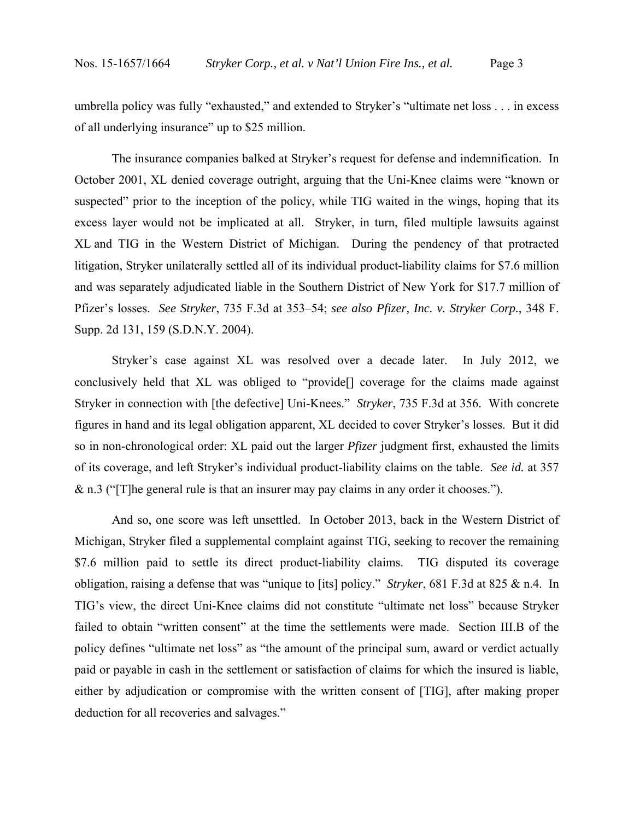umbrella policy was fully "exhausted," and extended to Stryker's "ultimate net loss . . . in excess of all underlying insurance" up to \$25 million.

The insurance companies balked at Stryker's request for defense and indemnification. In October 2001, XL denied coverage outright, arguing that the Uni-Knee claims were "known or suspected" prior to the inception of the policy, while TIG waited in the wings, hoping that its excess layer would not be implicated at all. Stryker, in turn, filed multiple lawsuits against XL and TIG in the Western District of Michigan. During the pendency of that protracted litigation, Stryker unilaterally settled all of its individual product-liability claims for \$7.6 million and was separately adjudicated liable in the Southern District of New York for \$17.7 million of Pfizer's losses. *See Stryker*, 735 F.3d at 353–54; *see also Pfizer, Inc. v. Stryker Corp.*, 348 F. Supp. 2d 131, 159 (S.D.N.Y. 2004).

Stryker's case against XL was resolved over a decade later. In July 2012, we conclusively held that XL was obliged to "provide[] coverage for the claims made against Stryker in connection with [the defective] Uni-Knees." *Stryker*, 735 F.3d at 356. With concrete figures in hand and its legal obligation apparent, XL decided to cover Stryker's losses. But it did so in non-chronological order: XL paid out the larger *Pfizer* judgment first, exhausted the limits of its coverage, and left Stryker's individual product-liability claims on the table. *See id.* at 357 & n.3 ("[T]he general rule is that an insurer may pay claims in any order it chooses.").

And so, one score was left unsettled. In October 2013, back in the Western District of Michigan, Stryker filed a supplemental complaint against TIG, seeking to recover the remaining \$7.6 million paid to settle its direct product-liability claims. TIG disputed its coverage obligation, raising a defense that was "unique to [its] policy." *Stryker*, 681 F.3d at 825 & n.4. In TIG's view, the direct Uni-Knee claims did not constitute "ultimate net loss" because Stryker failed to obtain "written consent" at the time the settlements were made. Section III.B of the policy defines "ultimate net loss" as "the amount of the principal sum, award or verdict actually paid or payable in cash in the settlement or satisfaction of claims for which the insured is liable, either by adjudication or compromise with the written consent of [TIG], after making proper deduction for all recoveries and salvages."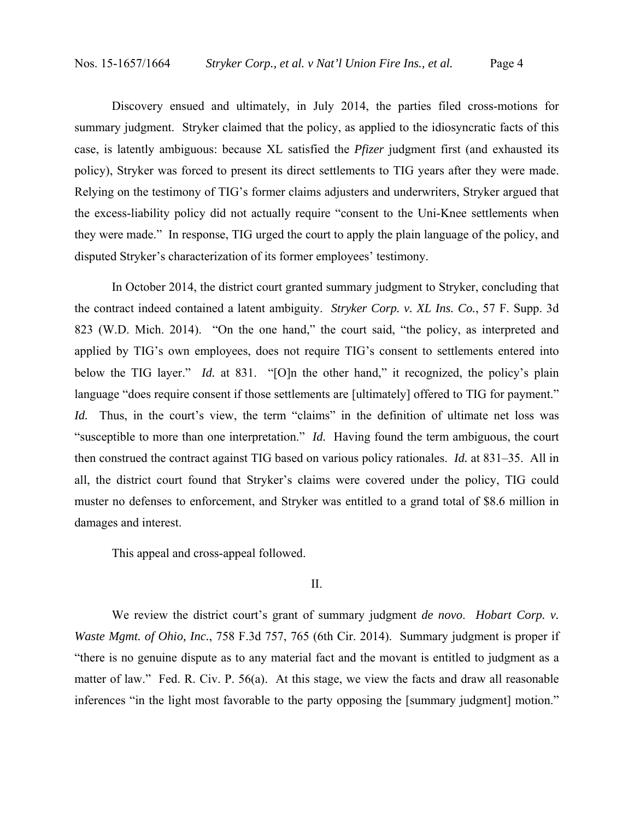Discovery ensued and ultimately, in July 2014, the parties filed cross-motions for summary judgment. Stryker claimed that the policy, as applied to the idiosyncratic facts of this case, is latently ambiguous: because XL satisfied the *Pfizer* judgment first (and exhausted its policy), Stryker was forced to present its direct settlements to TIG years after they were made. Relying on the testimony of TIG's former claims adjusters and underwriters, Stryker argued that the excess-liability policy did not actually require "consent to the Uni-Knee settlements when they were made." In response, TIG urged the court to apply the plain language of the policy, and disputed Stryker's characterization of its former employees' testimony.

In October 2014, the district court granted summary judgment to Stryker, concluding that the contract indeed contained a latent ambiguity. *Stryker Corp. v. XL Ins. Co.*, 57 F. Supp. 3d 823 (W.D. Mich. 2014). "On the one hand," the court said, "the policy, as interpreted and applied by TIG's own employees, does not require TIG's consent to settlements entered into below the TIG layer." *Id.* at 831. "[O]n the other hand," it recognized, the policy's plain language "does require consent if those settlements are [ultimately] offered to TIG for payment." *Id.* Thus, in the court's view, the term "claims" in the definition of ultimate net loss was "susceptible to more than one interpretation." *Id.* Having found the term ambiguous, the court then construed the contract against TIG based on various policy rationales. *Id.* at 831–35. All in all, the district court found that Stryker's claims were covered under the policy, TIG could muster no defenses to enforcement, and Stryker was entitled to a grand total of \$8.6 million in damages and interest.

This appeal and cross-appeal followed.

### II.

We review the district court's grant of summary judgment *de novo*. *Hobart Corp. v. Waste Mgmt. of Ohio, Inc., 758 F.3d 757, 765 (6th Cir. 2014). Summary judgment is proper if* "there is no genuine dispute as to any material fact and the movant is entitled to judgment as a matter of law." Fed. R. Civ. P. 56(a). At this stage, we view the facts and draw all reasonable inferences "in the light most favorable to the party opposing the [summary judgment] motion."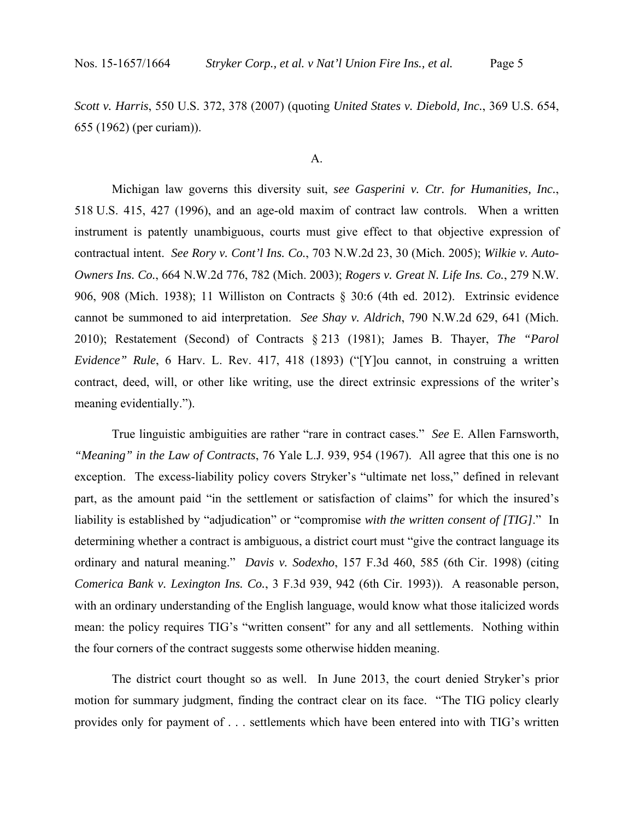*Scott v. Harris*, 550 U.S. 372, 378 (2007) (quoting *United States v. Diebold, Inc.*, 369 U.S. 654, 655 (1962) (per curiam)).

#### A.

Michigan law governs this diversity suit, *see Gasperini v. Ctr. for Humanities, Inc.*, 518 U.S. 415, 427 (1996), and an age-old maxim of contract law controls. When a written instrument is patently unambiguous, courts must give effect to that objective expression of contractual intent. *See Rory v. Cont'l Ins. Co.*, 703 N.W.2d 23, 30 (Mich. 2005); *Wilkie v. Auto-Owners Ins. Co.*, 664 N.W.2d 776, 782 (Mich. 2003); *Rogers v. Great N. Life Ins. Co.*, 279 N.W. 906, 908 (Mich. 1938); 11 Williston on Contracts § 30:6 (4th ed. 2012). Extrinsic evidence cannot be summoned to aid interpretation. *See Shay v. Aldrich*, 790 N.W.2d 629, 641 (Mich. 2010); Restatement (Second) of Contracts § 213 (1981); James B. Thayer, *The "Parol Evidence" Rule*, 6 Harv. L. Rev. 417, 418 (1893) ("[Y]ou cannot, in construing a written contract, deed, will, or other like writing, use the direct extrinsic expressions of the writer's meaning evidentially.").

True linguistic ambiguities are rather "rare in contract cases." *See* E. Allen Farnsworth, *"Meaning" in the Law of Contracts*, 76 Yale L.J. 939, 954 (1967). All agree that this one is no exception. The excess-liability policy covers Stryker's "ultimate net loss," defined in relevant part, as the amount paid "in the settlement or satisfaction of claims" for which the insured's liability is established by "adjudication" or "compromise *with the written consent of [TIG]*." In determining whether a contract is ambiguous, a district court must "give the contract language its ordinary and natural meaning." *Davis v. Sodexho*, 157 F.3d 460, 585 (6th Cir. 1998) (citing *Comerica Bank v. Lexington Ins. Co.*, 3 F.3d 939, 942 (6th Cir. 1993)). A reasonable person, with an ordinary understanding of the English language, would know what those italicized words mean: the policy requires TIG's "written consent" for any and all settlements. Nothing within the four corners of the contract suggests some otherwise hidden meaning.

The district court thought so as well. In June 2013, the court denied Stryker's prior motion for summary judgment, finding the contract clear on its face. "The TIG policy clearly provides only for payment of . . . settlements which have been entered into with TIG's written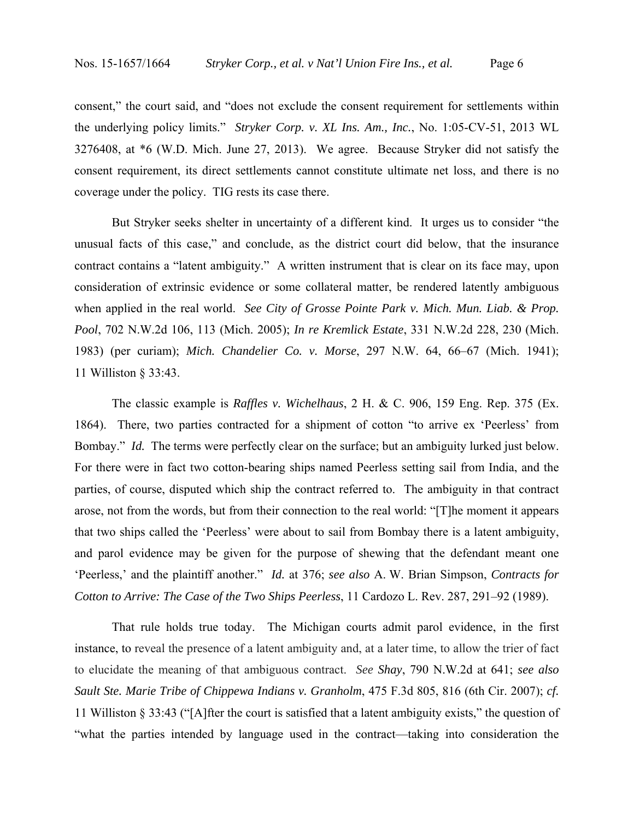consent," the court said, and "does not exclude the consent requirement for settlements within the underlying policy limits." *Stryker Corp. v. XL Ins. Am., Inc.*, No. 1:05-CV-51, 2013 WL 3276408, at \*6 (W.D. Mich. June 27, 2013). We agree. Because Stryker did not satisfy the consent requirement, its direct settlements cannot constitute ultimate net loss, and there is no coverage under the policy. TIG rests its case there.

But Stryker seeks shelter in uncertainty of a different kind. It urges us to consider "the unusual facts of this case," and conclude, as the district court did below, that the insurance contract contains a "latent ambiguity." A written instrument that is clear on its face may, upon consideration of extrinsic evidence or some collateral matter, be rendered latently ambiguous when applied in the real world. *See City of Grosse Pointe Park v. Mich. Mun. Liab. & Prop. Pool*, 702 N.W.2d 106, 113 (Mich. 2005); *In re Kremlick Estate*, 331 N.W.2d 228, 230 (Mich. 1983) (per curiam); *Mich. Chandelier Co. v. Morse*, 297 N.W. 64, 66–67 (Mich. 1941); 11 Williston § 33:43.

The classic example is *Raffles v. Wichelhaus*, 2 H. & C. 906, 159 Eng. Rep. 375 (Ex. 1864). There, two parties contracted for a shipment of cotton "to arrive ex 'Peerless' from Bombay." *Id.* The terms were perfectly clear on the surface; but an ambiguity lurked just below. For there were in fact two cotton-bearing ships named Peerless setting sail from India, and the parties, of course, disputed which ship the contract referred to. The ambiguity in that contract arose, not from the words, but from their connection to the real world: "[T]he moment it appears that two ships called the 'Peerless' were about to sail from Bombay there is a latent ambiguity, and parol evidence may be given for the purpose of shewing that the defendant meant one 'Peerless,' and the plaintiff another." *Id.* at 376; *see also* A. W. Brian Simpson, *Contracts for Cotton to Arrive: The Case of the Two Ships Peerless*, 11 Cardozo L. Rev. 287, 291–92 (1989).

That rule holds true today. The Michigan courts admit parol evidence, in the first instance, to reveal the presence of a latent ambiguity and, at a later time, to allow the trier of fact to elucidate the meaning of that ambiguous contract. *See Shay*, 790 N.W.2d at 641; *see also Sault Ste. Marie Tribe of Chippewa Indians v. Granholm*, 475 F.3d 805, 816 (6th Cir. 2007); *cf.*  11 Williston § 33:43 ("[A]fter the court is satisfied that a latent ambiguity exists," the question of "what the parties intended by language used in the contract—taking into consideration the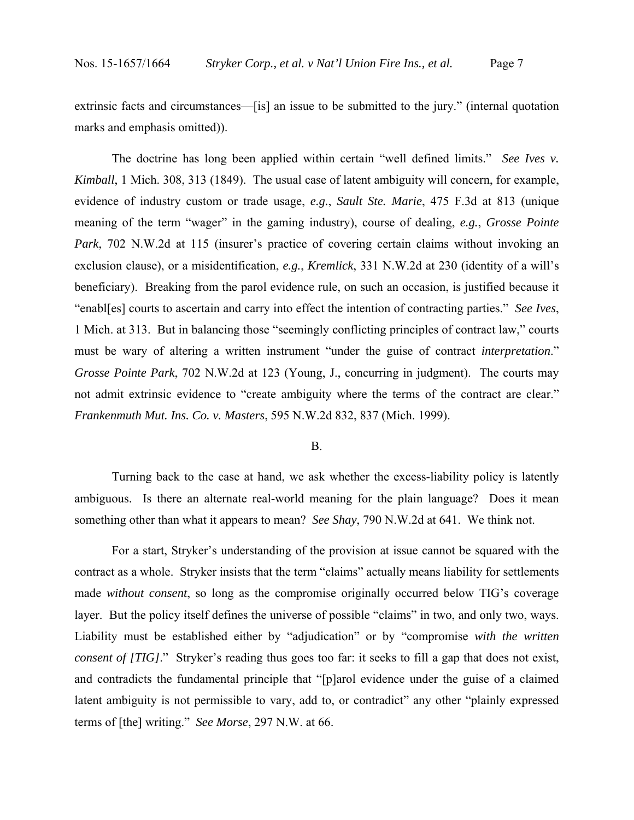extrinsic facts and circumstances—[is] an issue to be submitted to the jury." (internal quotation marks and emphasis omitted)).

The doctrine has long been applied within certain "well defined limits." *See Ives v. Kimball*, 1 Mich. 308, 313 (1849). The usual case of latent ambiguity will concern, for example, evidence of industry custom or trade usage, *e.g.*, *Sault Ste. Marie*, 475 F.3d at 813 (unique meaning of the term "wager" in the gaming industry), course of dealing, *e.g.*, *Grosse Pointe Park*, 702 N.W.2d at 115 (insurer's practice of covering certain claims without invoking an exclusion clause), or a misidentification, *e.g.*, *Kremlick*, 331 N.W.2d at 230 (identity of a will's beneficiary). Breaking from the parol evidence rule, on such an occasion, is justified because it "enabl[es] courts to ascertain and carry into effect the intention of contracting parties." *See Ives*, 1 Mich. at 313. But in balancing those "seemingly conflicting principles of contract law," courts must be wary of altering a written instrument "under the guise of contract *interpretation*." *Grosse Pointe Park*, 702 N.W.2d at 123 (Young, J., concurring in judgment). The courts may not admit extrinsic evidence to "create ambiguity where the terms of the contract are clear." *Frankenmuth Mut. Ins. Co. v. Masters*, 595 N.W.2d 832, 837 (Mich. 1999).

### B.

Turning back to the case at hand, we ask whether the excess-liability policy is latently ambiguous. Is there an alternate real-world meaning for the plain language? Does it mean something other than what it appears to mean? *See Shay*, 790 N.W.2d at 641. We think not.

For a start, Stryker's understanding of the provision at issue cannot be squared with the contract as a whole. Stryker insists that the term "claims" actually means liability for settlements made *without consent*, so long as the compromise originally occurred below TIG's coverage layer. But the policy itself defines the universe of possible "claims" in two, and only two, ways. Liability must be established either by "adjudication" or by "compromise *with the written consent of [TIG]*." Stryker's reading thus goes too far: it seeks to fill a gap that does not exist, and contradicts the fundamental principle that "[p]arol evidence under the guise of a claimed latent ambiguity is not permissible to vary, add to, or contradict" any other "plainly expressed terms of [the] writing." *See Morse*, 297 N.W. at 66.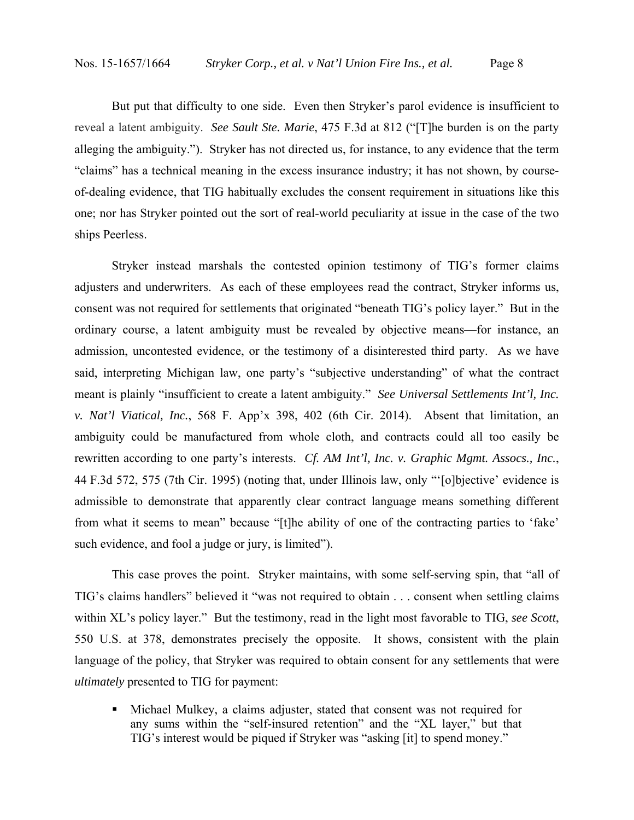But put that difficulty to one side. Even then Stryker's parol evidence is insufficient to reveal a latent ambiguity. *See Sault Ste. Marie*, 475 F.3d at 812 ("[T]he burden is on the party alleging the ambiguity."). Stryker has not directed us, for instance, to any evidence that the term "claims" has a technical meaning in the excess insurance industry; it has not shown, by courseof-dealing evidence, that TIG habitually excludes the consent requirement in situations like this one; nor has Stryker pointed out the sort of real-world peculiarity at issue in the case of the two ships Peerless.

Stryker instead marshals the contested opinion testimony of TIG's former claims adjusters and underwriters. As each of these employees read the contract, Stryker informs us, consent was not required for settlements that originated "beneath TIG's policy layer." But in the ordinary course, a latent ambiguity must be revealed by objective means—for instance, an admission, uncontested evidence, or the testimony of a disinterested third party. As we have said, interpreting Michigan law, one party's "subjective understanding" of what the contract meant is plainly "insufficient to create a latent ambiguity." *See Universal Settlements Int'l, Inc. v. Nat'l Viatical, Inc.*, 568 F. App'x 398, 402 (6th Cir. 2014). Absent that limitation, an ambiguity could be manufactured from whole cloth, and contracts could all too easily be rewritten according to one party's interests. *Cf. AM Int'l, Inc. v. Graphic Mgmt. Assocs., Inc.*, 44 F.3d 572, 575 (7th Cir. 1995) (noting that, under Illinois law, only "'[o]bjective' evidence is admissible to demonstrate that apparently clear contract language means something different from what it seems to mean" because "[t]he ability of one of the contracting parties to 'fake' such evidence, and fool a judge or jury, is limited").

This case proves the point. Stryker maintains, with some self-serving spin, that "all of TIG's claims handlers" believed it "was not required to obtain . . . consent when settling claims within XL's policy layer." But the testimony, read in the light most favorable to TIG, *see Scott*, 550 U.S. at 378, demonstrates precisely the opposite. It shows, consistent with the plain language of the policy, that Stryker was required to obtain consent for any settlements that were *ultimately* presented to TIG for payment:

 Michael Mulkey, a claims adjuster, stated that consent was not required for any sums within the "self-insured retention" and the "XL layer," but that TIG's interest would be piqued if Stryker was "asking [it] to spend money."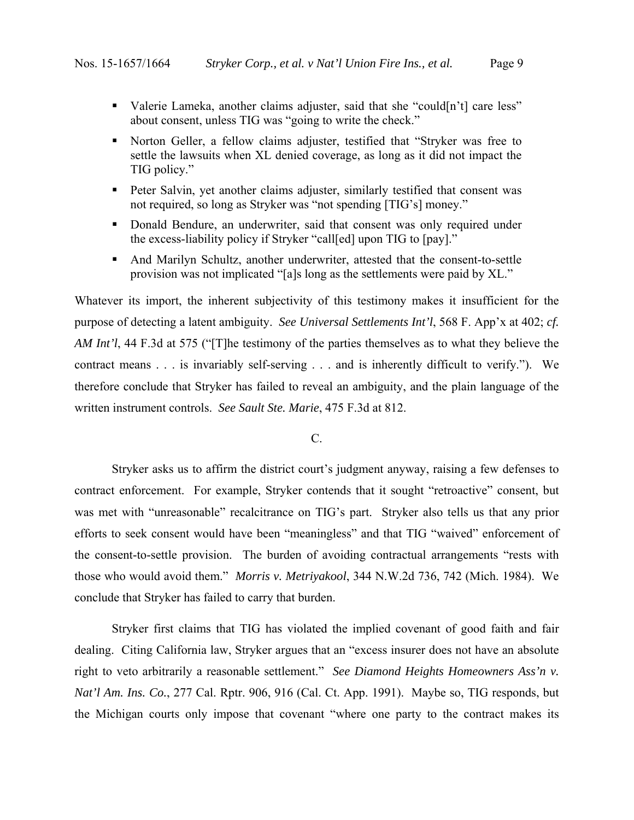- Valerie Lameka, another claims adjuster, said that she "could[n't] care less" about consent, unless TIG was "going to write the check."
- Norton Geller, a fellow claims adjuster, testified that "Stryker was free to settle the lawsuits when XL denied coverage, as long as it did not impact the TIG policy."
- **Peter Salvin, yet another claims adjuster, similarly testified that consent was** not required, so long as Stryker was "not spending [TIG's] money."
- Donald Bendure, an underwriter, said that consent was only required under the excess-liability policy if Stryker "call[ed] upon TIG to [pay]."
- And Marilyn Schultz, another underwriter, attested that the consent-to-settle provision was not implicated "[a]s long as the settlements were paid by XL."

Whatever its import, the inherent subjectivity of this testimony makes it insufficient for the purpose of detecting a latent ambiguity. *See Universal Settlements Int'l*, 568 F. App'x at 402; *cf. AM Int'l*, 44 F.3d at 575 ("[T]he testimony of the parties themselves as to what they believe the contract means . . . is invariably self-serving . . . and is inherently difficult to verify."). We therefore conclude that Stryker has failed to reveal an ambiguity, and the plain language of the written instrument controls. *See Sault Ste. Marie*, 475 F.3d at 812.

## C.

Stryker asks us to affirm the district court's judgment anyway, raising a few defenses to contract enforcement. For example, Stryker contends that it sought "retroactive" consent, but was met with "unreasonable" recalcitrance on TIG's part. Stryker also tells us that any prior efforts to seek consent would have been "meaningless" and that TIG "waived" enforcement of the consent-to-settle provision. The burden of avoiding contractual arrangements "rests with those who would avoid them." *Morris v. Metriyakool*, 344 N.W.2d 736, 742 (Mich. 1984). We conclude that Stryker has failed to carry that burden.

Stryker first claims that TIG has violated the implied covenant of good faith and fair dealing. Citing California law, Stryker argues that an "excess insurer does not have an absolute right to veto arbitrarily a reasonable settlement." *See Diamond Heights Homeowners Ass'n v. Nat'l Am. Ins. Co.*, 277 Cal. Rptr. 906, 916 (Cal. Ct. App. 1991). Maybe so, TIG responds, but the Michigan courts only impose that covenant "where one party to the contract makes its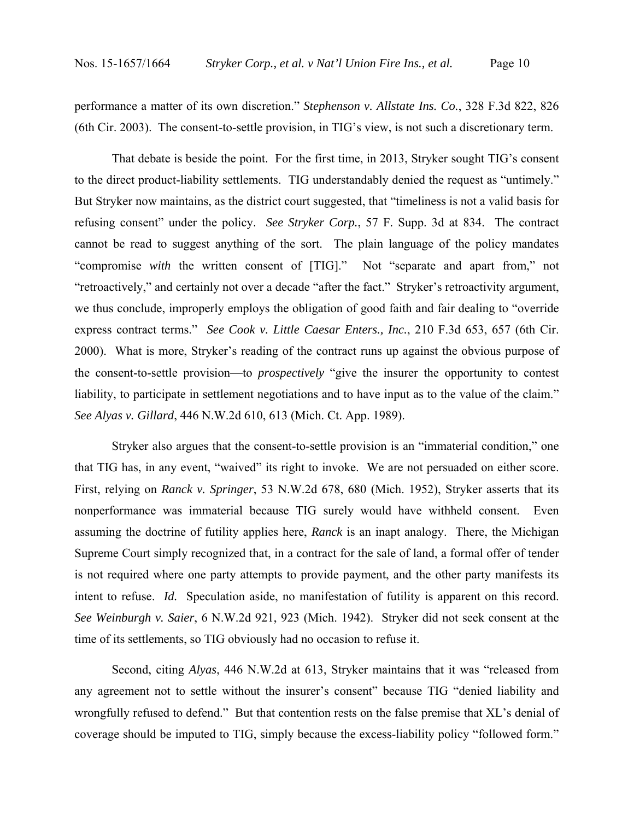performance a matter of its own discretion." *Stephenson v. Allstate Ins. Co.*, 328 F.3d 822, 826 (6th Cir. 2003). The consent-to-settle provision, in TIG's view, is not such a discretionary term.

That debate is beside the point. For the first time, in 2013, Stryker sought TIG's consent to the direct product-liability settlements. TIG understandably denied the request as "untimely." But Stryker now maintains, as the district court suggested, that "timeliness is not a valid basis for refusing consent" under the policy. *See Stryker Corp.*, 57 F. Supp. 3d at 834. The contract cannot be read to suggest anything of the sort. The plain language of the policy mandates "compromise *with* the written consent of [TIG]." Not "separate and apart from," not "retroactively," and certainly not over a decade "after the fact." Stryker's retroactivity argument, we thus conclude, improperly employs the obligation of good faith and fair dealing to "override express contract terms." *See Cook v. Little Caesar Enters., Inc.*, 210 F.3d 653, 657 (6th Cir. 2000).What is more, Stryker's reading of the contract runs up against the obvious purpose of the consent-to-settle provision—to *prospectively* "give the insurer the opportunity to contest liability, to participate in settlement negotiations and to have input as to the value of the claim." *See Alyas v. Gillard*, 446 N.W.2d 610, 613 (Mich. Ct. App. 1989).

Stryker also argues that the consent-to-settle provision is an "immaterial condition," one that TIG has, in any event, "waived" its right to invoke. We are not persuaded on either score. First, relying on *Ranck v. Springer*, 53 N.W.2d 678, 680 (Mich. 1952), Stryker asserts that its nonperformance was immaterial because TIG surely would have withheld consent. Even assuming the doctrine of futility applies here, *Ranck* is an inapt analogy. There, the Michigan Supreme Court simply recognized that, in a contract for the sale of land, a formal offer of tender is not required where one party attempts to provide payment, and the other party manifests its intent to refuse. *Id.* Speculation aside, no manifestation of futility is apparent on this record. *See Weinburgh v. Saier*, 6 N.W.2d 921, 923 (Mich. 1942). Stryker did not seek consent at the time of its settlements, so TIG obviously had no occasion to refuse it.

Second, citing *Alyas*, 446 N.W.2d at 613, Stryker maintains that it was "released from any agreement not to settle without the insurer's consent" because TIG "denied liability and wrongfully refused to defend." But that contention rests on the false premise that XL's denial of coverage should be imputed to TIG, simply because the excess-liability policy "followed form."